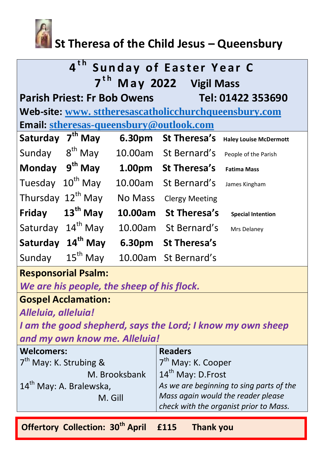

## **St Theresa of the Child Jesus – Queensbury**

| 4 <sup>th</sup><br><b>Sunday of Easter Year C</b>       |                      |                |                       |                               |  |
|---------------------------------------------------------|----------------------|----------------|-----------------------|-------------------------------|--|
| 7 <sup>th</sup><br>May 2022 Vigil Mass                  |                      |                |                       |                               |  |
| <b>Parish Priest: Fr Bob Owens</b><br>Tel: 01422 353690 |                      |                |                       |                               |  |
| Web-site: www.sttheresascatholicchurchqueensbury.com    |                      |                |                       |                               |  |
| <b>Email: stheresas-queensbury@outlook.com</b>          |                      |                |                       |                               |  |
| Saturday                                                | $7th$ May            | 6.30pm         | <b>St Theresa's</b>   | <b>Haley Louise McDermott</b> |  |
| Sunday                                                  | $8th$ May            |                | 10.00am St Bernard's  | People of the Parish          |  |
| <b>Monday</b>                                           | $9th$ May            |                | 1.00pm St Theresa's   | <b>Fatima Mass</b>            |  |
| Tuesday                                                 | $10^{th}$ May        | 10.00am        | St Bernard's          | James Kingham                 |  |
| Thursday 12 <sup>th</sup> May                           |                      | <b>No Mass</b> | <b>Clergy Meeting</b> |                               |  |
| <b>Friday</b>                                           | $13th$ May           | 10.00am        | St Theresa's          | <b>Special Intention</b>      |  |
| Saturday                                                | $14^{\text{th}}$ May | 10.00am        | St Bernard's          | Mrs Delaney                   |  |
| Saturday 14 <sup>th</sup> May                           |                      | 6.30pm         | <b>St Theresa's</b>   |                               |  |
| Sunday                                                  | $15th$ May           | 10.00am        | St Bernard's          |                               |  |
| <b>Responsorial Psalm:</b>                              |                      |                |                       |                               |  |
| We are his people, the sheep of his flock.              |                      |                |                       |                               |  |
| <b>Gospel Acclamation:</b>                              |                      |                |                       |                               |  |

*Alleluia, alleluia!*

*I am the good shepherd, says the Lord; I know my own sheep and my own know me. Alleluia!*

| <b>Welcomers:</b>                              | <b>Readers</b>                                                                                                           |  |
|------------------------------------------------|--------------------------------------------------------------------------------------------------------------------------|--|
| 7 <sup>th</sup> May: K. Strubing &             | 7 <sup>th</sup> May: K. Cooper                                                                                           |  |
| M. Brooksbank                                  | $14th$ May: D. Frost                                                                                                     |  |
| 14 <sup>th</sup> May: A. Bralewska,<br>M. Gill | As we are beginning to sing parts of the<br>Mass again would the reader please<br>check with the organist prior to Mass. |  |
|                                                |                                                                                                                          |  |

**Offertory Collection: 30th April £115 Thank you**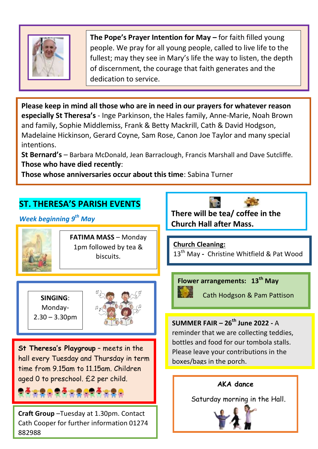

**The Pope's Prayer Intention for May –** for faith filled young people. We pray for all young people, called to live life to the fullest; may they see in Mary's life the way to listen, the depth of discernment, the courage that faith generates and the dedication to service.

**Please keep in mind all those who are in need in our prayers for whatever reason especially St Theresa's** - Inge Parkinson, the Hales family, Anne-Marie, Noah Brown and family, Sophie Middlemiss, Frank & Betty Mackrill, Cath & David Hodgson, Madelaine Hickinson, Gerard Coyne, Sam Rose, Canon Joe Taylor and many special intentions.

**St Bernard's** – Barbara McDonald, Jean Barraclough, Francis Marshall and Dave Sutcliffe. **Those who have died recently**:

**Those whose anniversaries occur about this time**: Sabina Turner

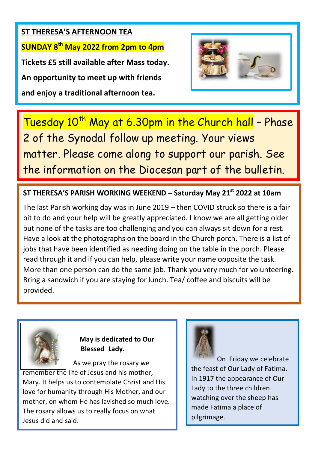**ST THERESA'S AFTERNOON TEA SUNDAY 8th May 2022 from 2pm to 4pm Tickets £5 still available after Mass today. An opportunity to meet up with friends and enjoy a traditional afternoon tea.**



Tuesday 10<sup>th</sup> May at 6.30pm in the Church hall - Phase 2 of the Synodal follow up meeting. Your views matter. Please come along to support our parish. See the information on the Diocesan part of the bulletin.

**ST THERESA'S PARISH WORKING WEEKEND – Saturday May 21st 2022 at 10am**

The last Parish working day was in June 2019 – then COVID struck so there is a fair bit to do and your help will be greatly appreciated. I know we are all getting older but none of the tasks are too challenging and you can always sit down for a rest. Have a look at the photographs on the board in the Church porch. There is a list of jobs that have been identified as needing doing on the table in the porch. Please read through it and if you can help, please write your name opposite the task. More than one person can do the same job. Thank you very much for volunteering. Bring a sandwich if you are staying for lunch. Tea/ coffee and biscuits will be provided.



 **May is dedicated to Our Blessed** Lady**. Blessed Lady.**

 As we pray the rosary we remember the life of Jesus and his mother, Mary. It helps us to contemplate Christ and His love for humanity through His Mother, and our mother, on whom He has lavished so much love. The rosary allows us to really focus on what Jesus did and said.



On Friday we celebrate the feast of Our Lady of Fatima. In 1917 the appearance of Our Lady to the three children watching over the sheep has made Fatima a place of pilgrimage.